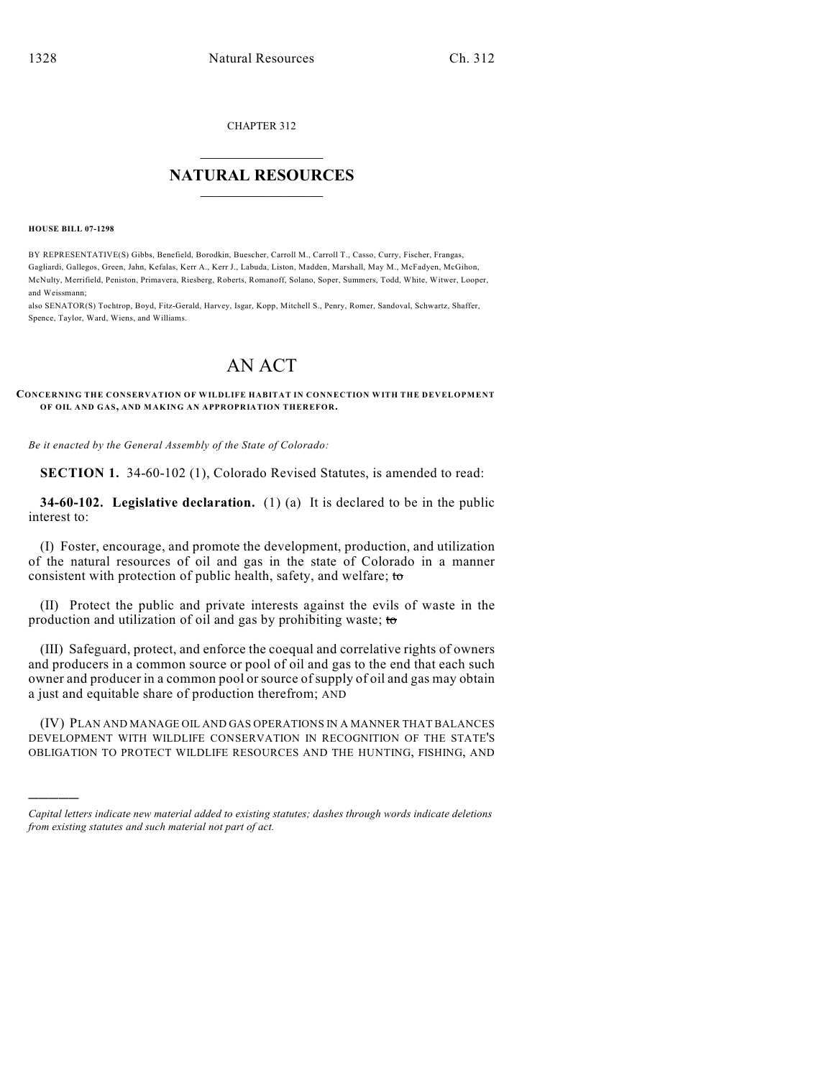CHAPTER 312

## $\mathcal{L}_\text{max}$  . The set of the set of the set of the set of the set of the set of the set of the set of the set of the set of the set of the set of the set of the set of the set of the set of the set of the set of the set **NATURAL RESOURCES**  $\frac{1}{\sqrt{2}}$  , where  $\frac{1}{\sqrt{2}}$  ,  $\frac{1}{\sqrt{2}}$  ,  $\frac{1}{\sqrt{2}}$

**HOUSE BILL 07-1298**

)))))

BY REPRESENTATIVE(S) Gibbs, Benefield, Borodkin, Buescher, Carroll M., Carroll T., Casso, Curry, Fischer, Frangas, Gagliardi, Gallegos, Green, Jahn, Kefalas, Kerr A., Kerr J., Labuda, Liston, Madden, Marshall, May M., McFadyen, McGihon, McNulty, Merrifield, Peniston, Primavera, Riesberg, Roberts, Romanoff, Solano, Soper, Summers, Todd, White, Witwer, Looper, and Weissmann;

also SENATOR(S) Tochtrop, Boyd, Fitz-Gerald, Harvey, Isgar, Kopp, Mitchell S., Penry, Romer, Sandoval, Schwartz, Shaffer, Spence, Taylor, Ward, Wiens, and Williams.

## AN ACT

## **CONCERNING THE CONSERVATION OF WILDLIFE HABITAT IN CONNECTION WITH THE DEVELOPMENT OF OIL AND GAS, AND MAKING AN APPROPRIATION THEREFOR.**

*Be it enacted by the General Assembly of the State of Colorado:*

**SECTION 1.** 34-60-102 (1), Colorado Revised Statutes, is amended to read:

**34-60-102. Legislative declaration.** (1) (a) It is declared to be in the public interest to:

(I) Foster, encourage, and promote the development, production, and utilization of the natural resources of oil and gas in the state of Colorado in a manner consistent with protection of public health, safety, and welfare; to

(II) Protect the public and private interests against the evils of waste in the production and utilization of oil and gas by prohibiting waste; to

(III) Safeguard, protect, and enforce the coequal and correlative rights of owners and producers in a common source or pool of oil and gas to the end that each such owner and producer in a common pool or source of supply of oil and gas may obtain a just and equitable share of production therefrom; AND

(IV) PLAN AND MANAGE OIL AND GAS OPERATIONS IN A MANNER THAT BALANCES DEVELOPMENT WITH WILDLIFE CONSERVATION IN RECOGNITION OF THE STATE'S OBLIGATION TO PROTECT WILDLIFE RESOURCES AND THE HUNTING, FISHING, AND

*Capital letters indicate new material added to existing statutes; dashes through words indicate deletions from existing statutes and such material not part of act.*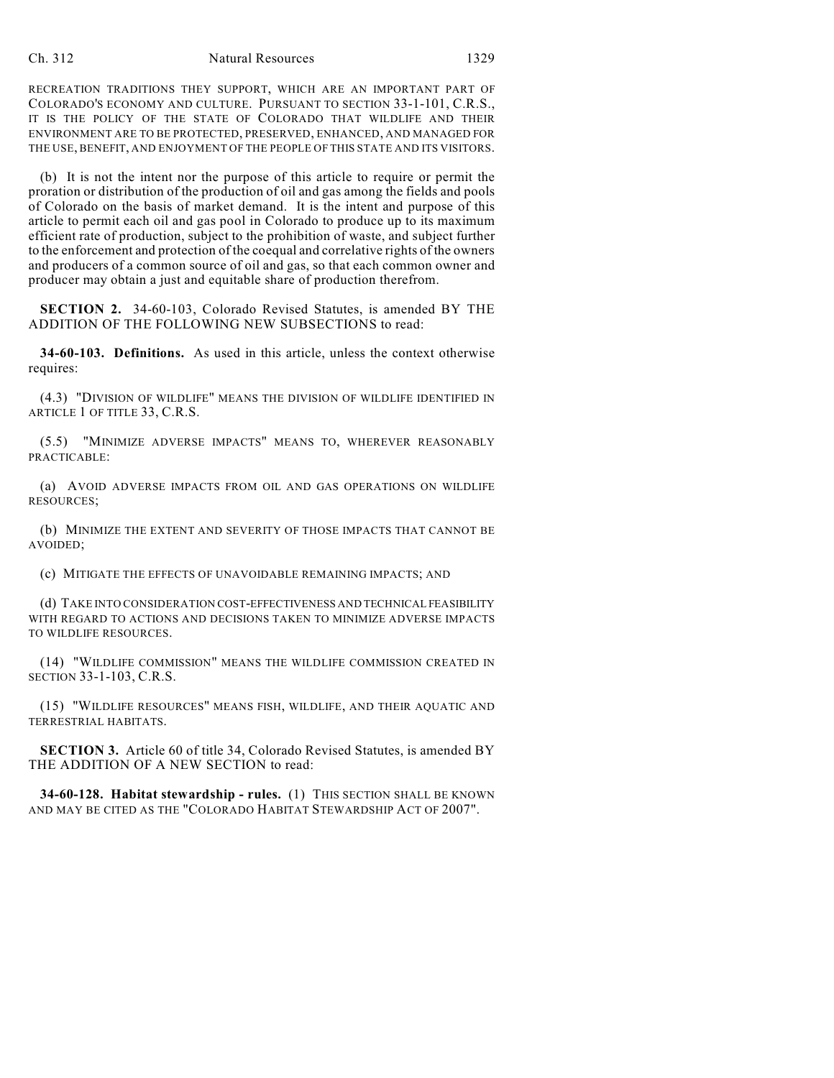RECREATION TRADITIONS THEY SUPPORT, WHICH ARE AN IMPORTANT PART OF COLORADO'S ECONOMY AND CULTURE. PURSUANT TO SECTION 33-1-101, C.R.S., IT IS THE POLICY OF THE STATE OF COLORADO THAT WILDLIFE AND THEIR ENVIRONMENT ARE TO BE PROTECTED, PRESERVED, ENHANCED, AND MANAGED FOR THE USE, BENEFIT, AND ENJOYMENT OF THE PEOPLE OF THIS STATE AND ITS VISITORS.

(b) It is not the intent nor the purpose of this article to require or permit the proration or distribution of the production of oil and gas among the fields and pools of Colorado on the basis of market demand. It is the intent and purpose of this article to permit each oil and gas pool in Colorado to produce up to its maximum efficient rate of production, subject to the prohibition of waste, and subject further to the enforcement and protection of the coequal and correlative rights of the owners and producers of a common source of oil and gas, so that each common owner and producer may obtain a just and equitable share of production therefrom.

**SECTION 2.** 34-60-103, Colorado Revised Statutes, is amended BY THE ADDITION OF THE FOLLOWING NEW SUBSECTIONS to read:

**34-60-103. Definitions.** As used in this article, unless the context otherwise requires:

(4.3) "DIVISION OF WILDLIFE" MEANS THE DIVISION OF WILDLIFE IDENTIFIED IN ARTICLE 1 OF TITLE 33, C.R.S.

(5.5) "MINIMIZE ADVERSE IMPACTS" MEANS TO, WHEREVER REASONABLY PRACTICABLE:

(a) AVOID ADVERSE IMPACTS FROM OIL AND GAS OPERATIONS ON WILDLIFE RESOURCES;

(b) MINIMIZE THE EXTENT AND SEVERITY OF THOSE IMPACTS THAT CANNOT BE AVOIDED;

(c) MITIGATE THE EFFECTS OF UNAVOIDABLE REMAINING IMPACTS; AND

(d) TAKE INTO CONSIDERATION COST-EFFECTIVENESS AND TECHNICAL FEASIBILITY WITH REGARD TO ACTIONS AND DECISIONS TAKEN TO MINIMIZE ADVERSE IMPACTS TO WILDLIFE RESOURCES.

(14) "WILDLIFE COMMISSION" MEANS THE WILDLIFE COMMISSION CREATED IN SECTION 33-1-103, C.R.S.

(15) "WILDLIFE RESOURCES" MEANS FISH, WILDLIFE, AND THEIR AQUATIC AND TERRESTRIAL HABITATS.

**SECTION 3.** Article 60 of title 34, Colorado Revised Statutes, is amended BY THE ADDITION OF A NEW SECTION to read:

**34-60-128. Habitat stewardship - rules.** (1) THIS SECTION SHALL BE KNOWN AND MAY BE CITED AS THE "COLORADO HABITAT STEWARDSHIP ACT OF 2007".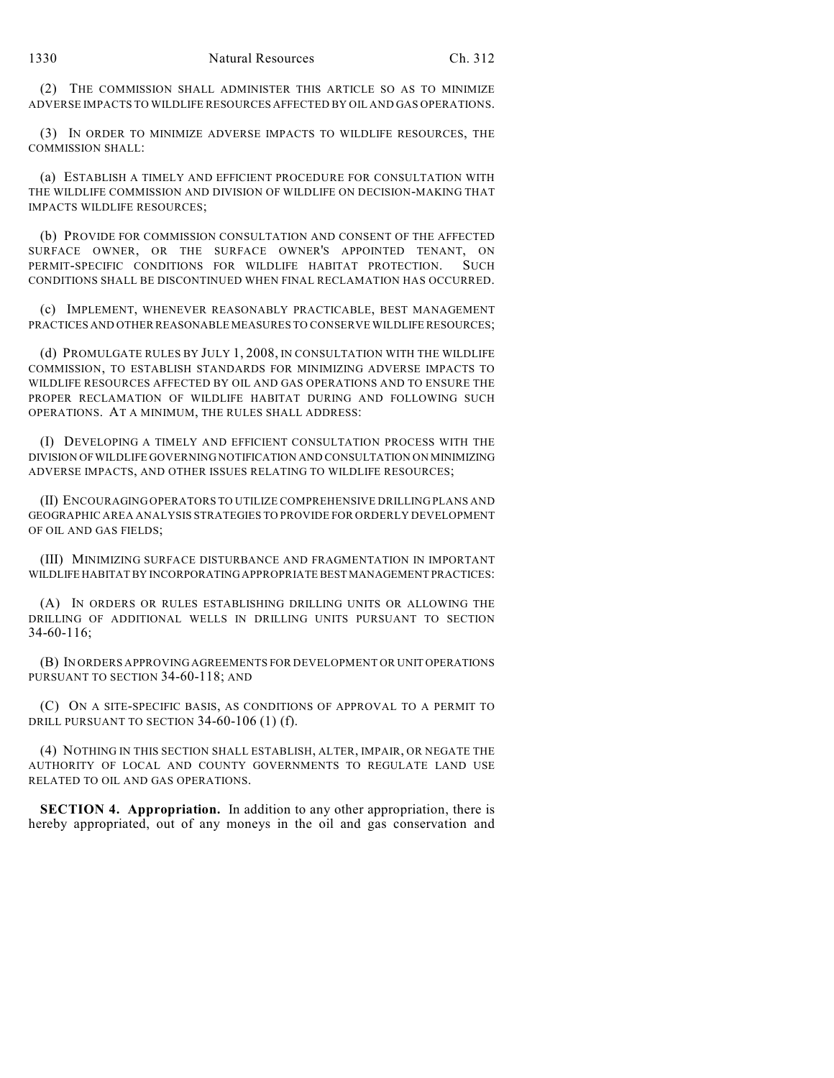(2) THE COMMISSION SHALL ADMINISTER THIS ARTICLE SO AS TO MINIMIZE ADVERSE IMPACTS TO WILDLIFE RESOURCES AFFECTED BY OIL AND GAS OPERATIONS.

(3) IN ORDER TO MINIMIZE ADVERSE IMPACTS TO WILDLIFE RESOURCES, THE COMMISSION SHALL:

(a) ESTABLISH A TIMELY AND EFFICIENT PROCEDURE FOR CONSULTATION WITH THE WILDLIFE COMMISSION AND DIVISION OF WILDLIFE ON DECISION-MAKING THAT IMPACTS WILDLIFE RESOURCES;

(b) PROVIDE FOR COMMISSION CONSULTATION AND CONSENT OF THE AFFECTED SURFACE OWNER, OR THE SURFACE OWNER'S APPOINTED TENANT, ON PERMIT-SPECIFIC CONDITIONS FOR WILDLIFE HABITAT PROTECTION. SUCH CONDITIONS SHALL BE DISCONTINUED WHEN FINAL RECLAMATION HAS OCCURRED.

(c) IMPLEMENT, WHENEVER REASONABLY PRACTICABLE, BEST MANAGEMENT PRACTICES AND OTHER REASONABLE MEASURES TO CONSERVE WILDLIFE RESOURCES;

(d) PROMULGATE RULES BY JULY 1, 2008, IN CONSULTATION WITH THE WILDLIFE COMMISSION, TO ESTABLISH STANDARDS FOR MINIMIZING ADVERSE IMPACTS TO WILDLIFE RESOURCES AFFECTED BY OIL AND GAS OPERATIONS AND TO ENSURE THE PROPER RECLAMATION OF WILDLIFE HABITAT DURING AND FOLLOWING SUCH OPERATIONS. AT A MINIMUM, THE RULES SHALL ADDRESS:

(I) DEVELOPING A TIMELY AND EFFICIENT CONSULTATION PROCESS WITH THE DIVISION OF WILDLIFE GOVERNING NOTIFICATION AND CONSULTATION ON MINIMIZING ADVERSE IMPACTS, AND OTHER ISSUES RELATING TO WILDLIFE RESOURCES;

(II) ENCOURAGING OPERATORS TO UTILIZE COMPREHENSIVE DRILLING PLANS AND GEOGRAPHIC AREA ANALYSIS STRATEGIES TO PROVIDE FOR ORDERLY DEVELOPMENT OF OIL AND GAS FIELDS;

(III) MINIMIZING SURFACE DISTURBANCE AND FRAGMENTATION IN IMPORTANT WILDLIFE HABITAT BY INCORPORATING APPROPRIATE BEST MANAGEMENT PRACTICES:

(A) IN ORDERS OR RULES ESTABLISHING DRILLING UNITS OR ALLOWING THE DRILLING OF ADDITIONAL WELLS IN DRILLING UNITS PURSUANT TO SECTION 34-60-116;

(B) IN ORDERS APPROVING AGREEMENTS FOR DEVELOPMENT OR UNIT OPERATIONS PURSUANT TO SECTION 34-60-118; AND

(C) ON A SITE-SPECIFIC BASIS, AS CONDITIONS OF APPROVAL TO A PERMIT TO DRILL PURSUANT TO SECTION 34-60-106 (1) (f).

(4) NOTHING IN THIS SECTION SHALL ESTABLISH, ALTER, IMPAIR, OR NEGATE THE AUTHORITY OF LOCAL AND COUNTY GOVERNMENTS TO REGULATE LAND USE RELATED TO OIL AND GAS OPERATIONS.

**SECTION 4. Appropriation.** In addition to any other appropriation, there is hereby appropriated, out of any moneys in the oil and gas conservation and